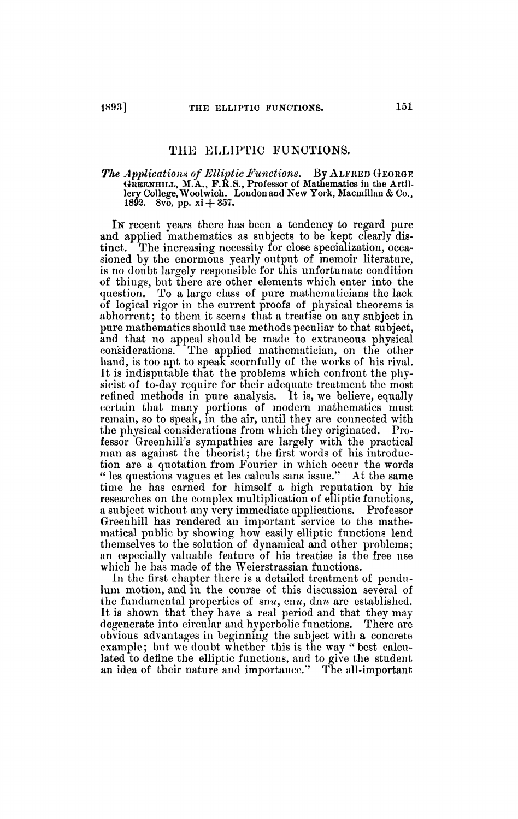## THE ELLIPTIC FUNCTIONS.

## The *Applications of Elliptic Functions*. By ALFRED GEORGE GREENHILL, M.A., F.R.S., Professor of Mathematics in the Artillery College, Woolwich. London and New York, Macmillan & Co., 1892. 8vo, pp.  $xi + 357$ .

In recent years there has been a tendency to regard pure **and** applied mathematics as subjects to be kept clearly distinct. The increasing necessity for close specialization, occasioned by the enormous yearly output of memoir literature, is no doubt largely responsible for this unfortunate condition of things, but there are other elements which enter into the question. To a large class of pure mathematicians the lack of logical rigor in the current proofs of physical theorems is abhorrent; to them it seems that a treatise on any subject in pure mathematics should use methods peculiar to that subject, and that no appeal should be made to extraneous physical considerations. The applied mathematician, on the other hand, is too apt to speak scornfully of the works of his rival. It is indisputable that the problems which confront the physicist of to-day require for their adequate treatment the most refined methods in pure analysis. It is, we believe, equally certain that many portions of modern mathematics must remain, so to speak, in the air, until they are connected with the physical considerations from which they originated. Professor GreenhilPs sympathies are largely with the practical man as against the theorist; the first words of his introduction are a quotation from Fourier in which occur the words " les questions vagues et les calculs sans issue." At the same time he has earned for himself a high reputation by his researches on the complex multiplication of elliptic functions, a subject without any very immediate applications. Professor Greenhill has rendered an important service to the mathematical public by showing how easily elliptic functions lend themselves to the solution of dynamical and other problems; an especially valuable feature of his treatise is the free use which he has made of the Weierstrassian functions.

In the first chapter there is a detailed treatment of pendulum motion, and in the course of this discussion several of the fundamental properties of  $\mathbf{sn}u$ ,  $\mathbf{cn}u$ ,  $\mathbf{dn}u$  are established. It is shown that they have a real period and that they may degenerate into circular and hyperbolic functions. There are obvious advantages in beginning the subject with a concrete example; but we doubt whether this is the way "best calculated to define the elliptic functions, and to give the student an idea of their nature and importance." The all-important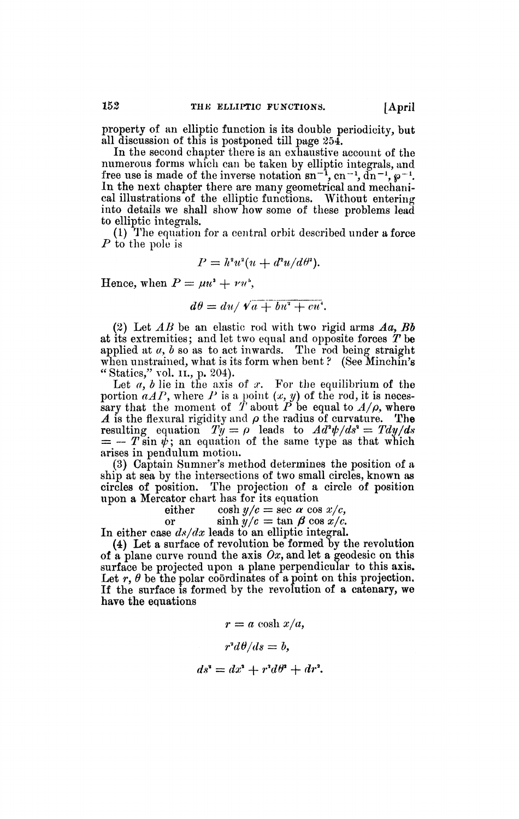property of an elliptic function is its double periodicity, but all discussion of this is postponed till page 254.

In the second chapter there is an exhaustive account of the numerous forms which can be taken by elliptic integrals, and free use is made of the inverse notation  $\text{sn}^{-1}$ ,  $\text{cn}^{-1}$ ,  $\text{dn}^{-1}$ ,  $\varphi^{-1}$ . In the next chapter there are many geometrical and mechanical illustrations of the elliptic functions. Without entering into details we shall show how some of these problems lead to elliptic integrals.

(1) The equation for a central orbit described under a force *P* to the pole is

$$
P = h^2 u^2 (u + d^2 u / d\theta^2).
$$

Hence, when  $P = \mu u^3 + \nu u^3$ ,

$$
d\theta = du / \sqrt{a + bu^2 + cu^4}.
$$

(2) Let *AB* be an elastic rod with two rigid arms *Aa, Bb*  at its extremities; and let two equal and opposite forces *The*  as the entrominence, and for  $\epsilon_{\text{max}}$  or equal and  $\epsilon_{\text{max}}$  role for  $\epsilon_{\text{max}}$  or  $\epsilon_{\text{max}}$ when unstrained, what is its form when bent ? (See Minchin's " Statics," vol. ii., p. 204).

Let  $a, b$  lie in the axis of  $x$ . For the equilibrium of the portion  $aAP$ , where  $P$  is a point  $(x, y)$  of the rod, it is necessary that the moment of  $\overline{T}$  about  $\overline{P}$  be equal to  $A/\rho$ , where  $A$  is the flexural rigidity and  $\rho$  the radius of curvature. The resulting equation  $Ty = \rho$  leads to  $Ad^2\psi/ds^2 = Tdy/ds$  $=$  – T sin  $\dot{\psi}$ ; an equation of the same type as that which arises in pendulum motion.

(3) Captain Sumner's method determines the position of a ship at sea by the intersections of two small circles, known as circles of position. The projection of a circle of position upon a Mercator chart has for its equation

either cosh  $y/c = \sec \alpha \cos \alpha/c$ ,<br>or  $\sinh \alpha/c = \tan \beta \cos \alpha/c$ .

or  $\sinh \tilde{y}/c = \tan \beta \cos \tilde{x}/c$ .<br>In either case  $ds/dx$  leads to an elliptic integral.

(4) Let a surface of revolution be formed by the revolution of a plane curve round the axis  $Ox$ , and let a geodesic on this surface be projected upon a plane perpendicular to this axis. Let  $r$ ,  $\theta$  be the polar coördinates of a point on this projection. Let r, *b* be the polar coordinates of a point on this projection. If the surface is formed by the revolution of a catenary, we have the equations

$$
r = a \cosh x/a,
$$

$$
r^2d\theta/ds = b,
$$

$$
ds^i = dx^i + r^i d\theta^i + dr^i.
$$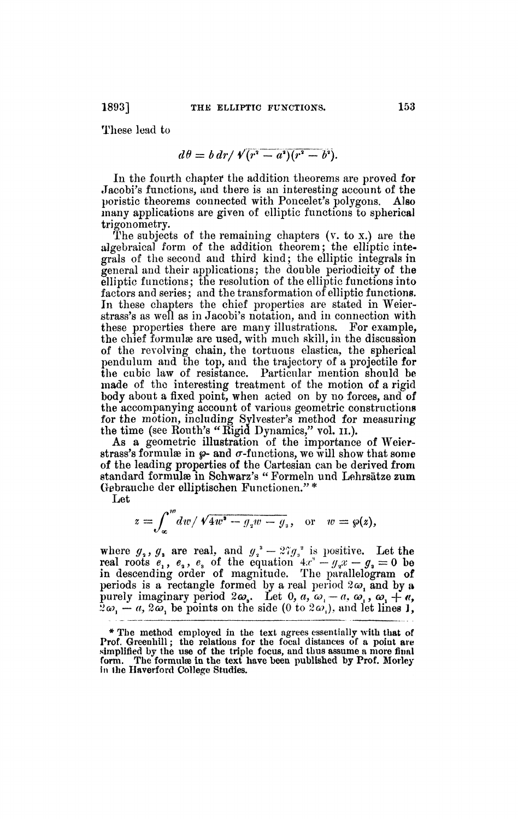These lead to

$$
d\theta = b dr / \sqrt{(r^2 - a^2)(r^2 - b^2)}.
$$

In the fourth chapter the addition theorems are proved for Jacobi's functions, and there is an interesting account of the poristic theorems connected with Poncelet's polygons. Also many applications are given of elliptic functions to spherical trigonometry.

The subjects of the remaining chapters (v. to x.) are the algebraical form of the addition theorem; the elliptic integrals of the second and third kind ; the elliptic integrals in general and their applications; the double periodicity of the elliptic functions; the resolution of the elliptic functions into factors and series; and the transformation of elliptic functions. In these chapters the chief properties are stated in Weierstrass's as well as in Jacobi's notation, and in connection with these properties there are many illustrations. For example, the chief formulae are used, with much skill, in the discussion of the revolving chain, the tortuous elastica, the spherical pendulum and the top, and the trajectory of a projectile for the cubic law of resistance. Particular mention should be made of the interesting treatment of the motion of a rigid body about a fixed point, when acted on by no forces, and of the accompanying account of various geometric constructions for the motion, including Sylvester's method for measuring the time (see Routh's " Rigid Dynamics," vol, 11.).

As a geometric illustration of the importance of Weierstrass's formulae in  $\varphi$ - and  $\sigma$ -functions, we will show that some of the leading properties of the Cartesian can be derived from standard formulae in Sehwarz's " Formeln und Lehrsätze zum Gebrauche der elliptischen Functionen." \*

Let

$$
z = \int_{\alpha}^{w} dw / \sqrt{4w^2 - g_2 w - g_3}, \quad \text{or} \quad w = \varphi(z),
$$

where  $g_2$ ,  $g_3$  are real, and  $g_2^3 - 27g_3^2$  is positive. Let the real roots  $e_i$ ,  $e_s$ ,  $e_s$  of the equation  $4x^3 - y_x^2 - y_s = 0$  bo in descending order of magnitude. The parallelogram of periods is a rectangle formed by a real period  $2\omega$ <sub>*i*</sub> and by a purely imaginary period  $2\omega_i$ . Let 0,  $a, \omega_i - a, \omega_i$ ,  $\omega_i + a$ ,  $\mathbb{R}\omega$ ,  $\mathbb{R}$  *a*,  $2\tilde{\omega}$ , be points on the side (0 to  $2\omega$ ), and let lines 1,

<sup>\*</sup> The method employed in the text agrees essentially with that of Prof. Greenhill; the relations for the focal distances of a point are simplified by the use of the triple focus, and thus assume a more final form. The formulae in the text have been published by Prof. Morley in the Haverford College Studies.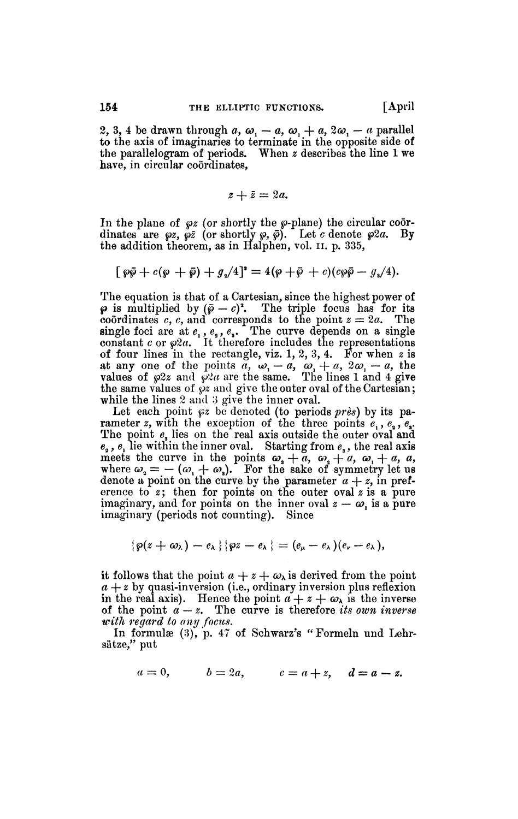2, 3, 4 be drawn through a,  $\omega_1 - a$ ,  $\omega_1 + a$ ,  $2\omega_1 - a$  parallel to the axis of imaginaries to terminate in the opposite side of the parallelogram of periods. When *z* describes the line 1 we have, in circular coordinates,

$$
z+\bar{z}=2a.
$$

In the plane of  $\varphi z$  (or shortly the  $\varphi$ -plane) the circular coördinates are  $\varphi z$ ,  $\varphi \bar{z}$  (or shortly  $\varphi$ ,  $\bar{\varphi}$ ). Let *c* denote  $\varphi 2a$ . By the addition theorem, as in Halphen, vol. n. p. 335,

$$
[\wp \bar{\varphi} + c(\wp + \bar{\wp}) + g_{\mathfrak{s}}/4]^{\mathfrak{s}} = 4(\wp + \bar{\wp} + c)(c\wp \bar{\varphi} - g_{\mathfrak{s}}/4).
$$

The equation is that of a Cartesian, since the highest power of  $\varphi$  is multiplied by  $(\bar{\varphi} - c)^2$ . The triple focus has for its coordinates  $c, c$ , and corresponds to the point  $z = 2a$ . The single foci are at  $e_i$ ,  $e_i$ ,  $e_i$ . The curve depends on a single constant  $c$  or  $\varphi$ 2*a*. It therefore includes the representations of four lines in the rectangle, viz. 1, 2, 3, 4. For when *z* is at any one of the points  $a, \omega_1 - a, \omega_1 + a, 2\omega_1 - a,$  the values of  $\varphi$ 2*z* and  $\varphi$ 2*a* are the same. The lines 1 and 4 give the same values of *pz* and give the outer oval of the Cartesian; while the lines 2 and 3 give the inner oval.

Let each point *pz* be denoted (to periods *près)* by its parameter *z*, with the exception of the three points  $e_1$ ,  $e_2$ ,  $e_3$ . The point  $e_9$  lies on the real axis outside the outer oval and  $e_2$ ,  $e_i$  lie within the inner oval. Starting from  $e_s$ , the real axis meets the curve in the points  $\omega_{s} + \alpha$ ,  $\omega_{2} + \alpha$ ,  $\omega_{1} + \alpha$ ,  $\alpha$ , where  $\omega_2 = -(\omega_1 + \omega_2)$ . For the sake of symmetry let us denote a point on the curve by the parameter  $a + z$ , in preference to z; then for points on the outer oval z is a pure imaginary, and for points on the inner oval  $z - \omega_i$  is a pure imaginary (periods not counting). Since

$$
\{\varphi(z+\omega_\lambda)-e_\lambda\}\{\varphi z-e_\lambda\}=(e_\mu-e_\lambda)(e_\nu-e_\lambda),
$$

it follows that the point  $a + z + \omega_{\lambda}$  is derived from the point  $a + z$  by quasi-inversion (i.e., ordinary inversion plus reflexion in the real axis). Hence the point  $a + z + \omega_{\lambda}$  is the inverse of the point  $a - z$ . The curve is therefore *its own inverse with regard to any focus.* 

In formulæ (3), p. 47 of Schwarz's "Formeln und Lehrsätze," put

$$
a=0, \qquad b=2a, \qquad c=a+z, \quad d=a-z.
$$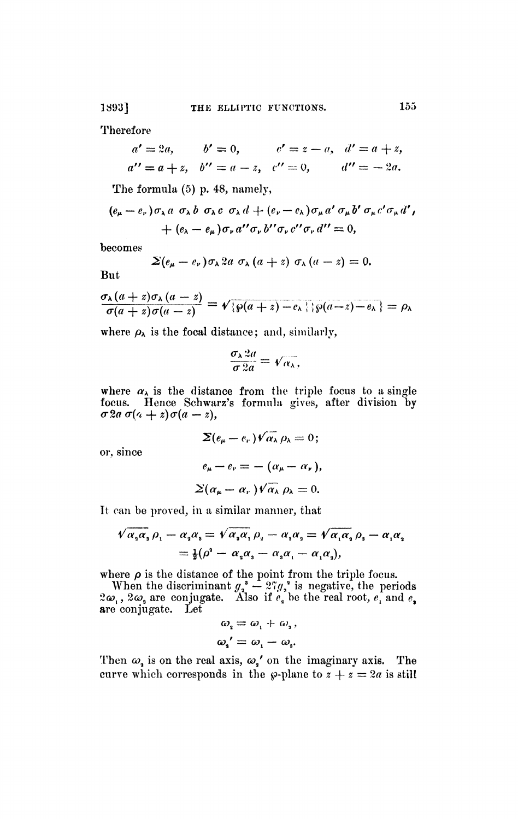Therefore

$$
a' = 2a
$$
,  $b' = 0$ ,  $c' = z - a$ ,  $d' = a + z$ ,  
\n $a'' = a + z$ ,  $b'' = a - z$ ,  $c'' = 0$ ,  $d'' = -2a$ .

The formula (5) p. 48, namely,

$$
(e_{\mu}-e_{\nu})\sigma_{\lambda} a \sigma_{\lambda} b \sigma_{\lambda} c \sigma_{\lambda} d + (e_{\nu}-e_{\lambda})\sigma_{\mu} a' \sigma_{\mu} b' \sigma_{\mu} c' \sigma_{\mu} d',
$$
  
+ 
$$
(e_{\lambda}-e_{\mu})\sigma_{\nu} a'' \sigma_{\nu} b'' \sigma_{\nu} c'' \sigma_{\nu} d'' = 0,
$$

becomes

$$
\Sigma(e_{\mu}-e_{\nu})\sigma_{\lambda}2a \sigma_{\lambda}(a+z) \sigma_{\lambda}(a-z)=0.
$$

But

$$
\frac{\sigma_{\lambda}(a+z)\sigma_{\lambda}(a-z)}{\sigma(a+z)\sigma(a-z)}=\sqrt{\frac{1}{\left\{\wp(a+z)-e_{\lambda}\right\}\left\{\wp(a-z)-e_{\lambda}\right\}}}=\rho_{\lambda}
$$

where  $\rho_{\lambda}$  is the focal distance; and, similarly,

$$
\frac{\sigma_{\lambda} 2a}{\sigma 2a} = \sqrt{\alpha_{\lambda}},
$$

where  $\alpha_{\lambda}$  is the distance from the triple focus to a single focus. Hence Schwarz's formula gives, after division by  $\sigma$  2*a*  $\sigma$ (*a* + *z*) $\sigma$ (*a* - *z*),

$$
\Sigma(e_{\mu}-e_{\nu})\sqrt{\alpha_{\lambda}}\,\rho_{\lambda}=0\,;
$$

or, since

$$
e_{\mu}-e_{\nu}=-(\alpha_{\mu}-\alpha_{\nu}),
$$
  

$$
\Sigma(\alpha_{\mu}-\alpha_{\nu})\sqrt{\alpha_{\lambda}}\ \rho_{\lambda}=0.
$$

Tt can be proved, in a similar manner, that

$$
\sqrt{\alpha_3 \alpha_3} \rho_1 - \alpha_2 \alpha_3 = \sqrt{\alpha_3 \alpha_1} \rho_2 - \alpha_3 \alpha_3 = \sqrt{\alpha_1 \alpha_2} \rho_3 - \alpha_1 \alpha_3
$$
  
=  $\frac{1}{2} (\rho^2 - \alpha_2 \alpha_3 - \alpha_3 \alpha_1 - \alpha_1 \alpha_3),$ 

where  $\rho$  is the distance of the point from the triple focus.

When the discriminant  $g_i^* - 27g_i^*$  is negative, the periods  $2\omega_1$ ,  $2\omega_3$  are conjugate. Also if  $e_i$  be the real root,  $e_i$  and  $e_i$ are conjugate. Let

$$
\omega_{2} = \omega_{1} + \omega_{3},
$$
  

$$
\omega_{2}' = \omega_{1} - \omega_{3}.
$$

Then  $\omega_i$  is on the real axis,  $\omega_i'$  on the imaginary axis. The curve which corresponds in the  $\varphi$ -plane to  $z + z = 2a$  is still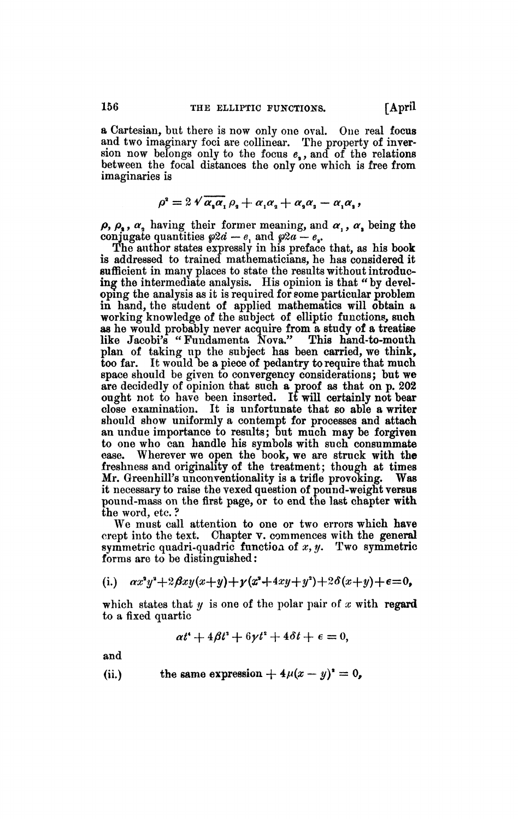a Cartesian, but there is now only one oval. One real focus and two imaginary foci are collinear. The property of inversion now belongs only to the focus  $e_2$ , and of the relations between the focal distances the only one which is free from imaginaries is

$$
\rho^2 = 2 \sqrt{\alpha_s \alpha_1} \rho_s + \alpha_1 \alpha_2 + \alpha_2 \alpha_3 - \alpha_1 \alpha_s,
$$

 $\rho, \rho_s, \alpha_s$  having their former meaning, and  $\alpha_i, \alpha_s$  being the conjugate quantities  $\wp{2d - e_i}$  and  $\wp{2a - e_s}$ .

The author states expressly in his preface that, as his book is addressed to trained mathematicians, he has considered it sufficient in many places to state the results without introducing the intermediate analysis. His opinion is that " by developing the analysis as it is required for some particular problem in hand, the student of applied mathematics will obtain a working knowledge of the subject of elliptic functions, such as he would probably never acquire from a study of a treatise like Jacobi's "Fundamenta Nova." This hand-to-mouth plan of taking up the subject has been carried, we think, too far. It would be a piece of pedantry to require that much space should be given to convergency considerations; but we are decidedly of opinion that such a proof as that on p. 202 ought not to have been inserted. It will certainly not bear close examination. It is unfortunate that so able a writer should show uniformly a contempt for processes and attach an undue importance to results; but much may be forgiven to one who can handle his symbols with such consummate ease. Wherever we open the book, we are struck with the freshness and originality of the treatment; though at times Mr. Greenhill's unconventionality is a trifle provoking. Was it necessary to raise the vexed question of pound-weight versus pound-mass on the first page, or to end the last chapter with the word, etc. ?

We must call attention to one or two errors which have crept into the text. Chapter v. commences with the general symmetric quadri-quadric functioa of *x, y.* Two symmetric forms are to be distinguished :

(i.) 
$$
\alpha x^2 y^2 + 2\beta xy(x+y) + \gamma(x^2 + 4xy + y^2) + 2\delta(x+y) + \epsilon = 0,
$$

which states that *y* is one of the polar pair of *x* with regard to a fixed quartic

$$
\alpha t^4 + 4\beta t^3 + 6\gamma t^2 + 4\delta t + \epsilon = 0,
$$

and

(ii.) the same expression 
$$
+
$$
  $4\mu(x - y)^2 = 0$ ,